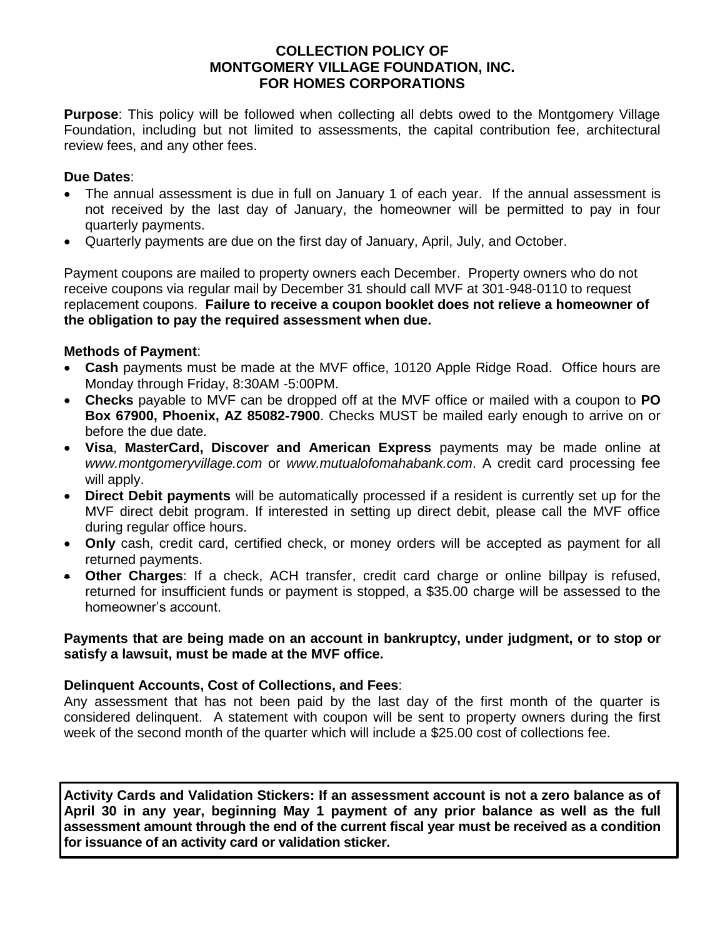## **COLLECTION POLICY OF MONTGOMERY VILLAGE FOUNDATION, INC. FOR HOMES CORPORATIONS**

**Purpose**: This policy will be followed when collecting all debts owed to the Montgomery Village Foundation, including but not limited to assessments, the capital contribution fee, architectural review fees, and any other fees.

### **Due Dates**:

- The annual assessment is due in full on January 1 of each year. If the annual assessment is not received by the last day of January, the homeowner will be permitted to pay in four quarterly payments.
- Quarterly payments are due on the first day of January, April, July, and October.

Payment coupons are mailed to property owners each December. Property owners who do not receive coupons via regular mail by December 31 should call MVF at 301-948-0110 to request replacement coupons. **Failure to receive a coupon booklet does not relieve a homeowner of the obligation to pay the required assessment when due.**

## **Methods of Payment**:

- **Cash** payments must be made at the MVF office, 10120 Apple Ridge Road. Office hours are Monday through Friday, 8:30AM -5:00PM.
- **Checks** payable to MVF can be dropped off at the MVF office or mailed with a coupon to **PO Box 67900, Phoenix, AZ 85082-7900**. Checks MUST be mailed early enough to arrive on or before the due date.
- **Visa**, **MasterCard, Discover and American Express** payments may be made online at *www.montgomeryvillage.com* or *www.mutualofomahabank.com*. A credit card processing fee will apply.
- **Direct Debit payments** will be automatically processed if a resident is currently set up for the MVF direct debit program. If interested in setting up direct debit, please call the MVF office during regular office hours.
- **Only** cash, credit card, certified check, or money orders will be accepted as payment for all returned payments.
- **Other Charges**: If a check, ACH transfer, credit card charge or online billpay is refused, returned for insufficient funds or payment is stopped, a \$35.00 charge will be assessed to the homeowner's account.

### **Payments that are being made on an account in bankruptcy, under judgment, or to stop or satisfy a lawsuit, must be made at the MVF office.**

# **Delinquent Accounts, Cost of Collections, and Fees**:

Any assessment that has not been paid by the last day of the first month of the quarter is considered delinquent. A statement with coupon will be sent to property owners during the first week of the second month of the quarter which will include a \$25.00 cost of collections fee.

**Activity Cards and Validation Stickers: If an assessment account is not a zero balance as of April 30 in any year, beginning May 1 payment of any prior balance as well as the full assessment amount through the end of the current fiscal year must be received as a condition for issuance of an activity card or validation sticker.**